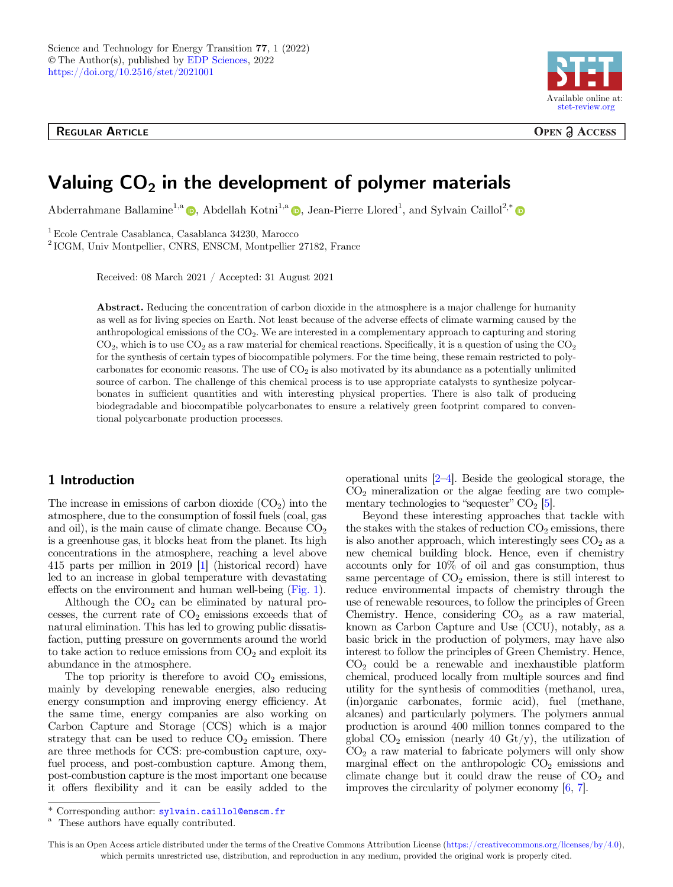

**OPEN ACCESS** 

# Valuing  $CO<sub>2</sub>$  in the development of polymer materials

Abderr[a](http://orcid.org/0000-0003-0231-8381)hmane Ballamine<sup>1,a</sup>  $\bullet$ , Abdellah Kotni<sup>1,a</sup>  $\bullet$ , Jean-Pierre Llored<sup>1</sup>, and Sylvain Caillol<sup>2,[\\*](http://orcid.org/0000-0003-3106-5547)</sup>

1Ecole Centrale Casablanca, Casablanca 34230, Marocco

<sup>2</sup> ICGM, Univ Montpellier, CNRS, ENSCM, Montpellier 27182, France

Received: 08 March 2021 / Accepted: 31 August 2021

Abstract. Reducing the concentration of carbon dioxide in the atmosphere is a major challenge for humanity as well as for living species on Earth. Not least because of the adverse effects of climate warming caused by the anthropological emissions of the  $CO<sub>2</sub>$ . We are interested in a complementary approach to capturing and storing  $CO<sub>2</sub>$ , which is to use  $CO<sub>2</sub>$  as a raw material for chemical reactions. Specifically, it is a question of using the  $CO<sub>2</sub>$ for the synthesis of certain types of biocompatible polymers. For the time being, these remain restricted to polycarbonates for economic reasons. The use of  $CO<sub>2</sub>$  is also motivated by its abundance as a potentially unlimited source of carbon. The challenge of this chemical process is to use appropriate catalysts to synthesize polycarbonates in sufficient quantities and with interesting physical properties. There is also talk of producing biodegradable and biocompatible polycarbonates to ensure a relatively green footprint compared to conventional polycarbonate production processes.

## 1 Introduction

The increase in emissions of carbon dioxide  $(CO<sub>2</sub>)$  into the atmosphere, due to the consumption of fossil fuels (coal, gas and oil), is the main cause of climate change. Because  $CO<sub>2</sub>$ is a greenhouse gas, it blocks heat from the planet. Its high concentrations in the atmosphere, reaching a level above 415 parts per million in 2019 [\[1\]](#page-3-0) (historical record) have led to an increase in global temperature with devastating effects on the environment and human well-being ([Fig. 1](#page-1-0)).

Although the  $CO<sub>2</sub>$  can be eliminated by natural processes, the current rate of  $CO<sub>2</sub>$  emissions exceeds that of natural elimination. This has led to growing public dissatisfaction, putting pressure on governments around the world to take action to reduce emissions from  $CO<sub>2</sub>$  and exploit its abundance in the atmosphere.

The top priority is therefore to avoid  $CO<sub>2</sub>$  emissions, mainly by developing renewable energies, also reducing energy consumption and improving energy efficiency. At the same time, energy companies are also working on Carbon Capture and Storage (CCS) which is a major strategy that can be used to reduce  $CO<sub>2</sub>$  emission. There are three methods for CCS: pre-combustion capture, oxyfuel process, and post-combustion capture. Among them, post-combustion capture is the most important one because it offers flexibility and it can be easily added to the

operational units [\[2](#page-3-0)–[4\]](#page-3-0). Beside the geological storage, the  $CO<sub>2</sub>$  mineralization or the algae feeding are two complementary technologies to "sequester"  $CO<sub>2</sub>$  [[5](#page-3-0)].

Beyond these interesting approaches that tackle with the stakes with the stakes of reduction  $CO<sub>2</sub>$  emissions, there is also another approach, which interestingly sees  $CO<sub>2</sub>$  as a new chemical building block. Hence, even if chemistry accounts only for 10% of oil and gas consumption, thus same percentage of  $CO<sub>2</sub>$  emission, there is still interest to reduce environmental impacts of chemistry through the use of renewable resources, to follow the principles of Green Chemistry. Hence, considering  $CO<sub>2</sub>$  as a raw material, known as Carbon Capture and Use (CCU), notably, as a basic brick in the production of polymers, may have also interest to follow the principles of Green Chemistry. Hence,  $CO<sub>2</sub>$  could be a renewable and inexhaustible platform chemical, produced locally from multiple sources and find utility for the synthesis of commodities (methanol, urea, (in)organic carbonates, formic acid), fuel (methane, alcanes) and particularly polymers. The polymers annual production is around 400 million tonnes compared to the global  $CO_2$  emission (nearly 40  $\text{Gt/y}$ ), the utilization of  $CO<sub>2</sub>$  a raw material to fabricate polymers will only show marginal effect on the anthropologic  $CO<sub>2</sub>$  emissions and climate change but it could draw the reuse of  $CO<sub>2</sub>$  and improves the circularity of polymer economy  $[6, 7]$  $[6, 7]$  $[6, 7]$ .

Corresponding author: sylvain.caillol@enscm.fr<br>These authors have equally contributed.

This is an Open Access article distributed under the terms of the Creative Commons Attribution License [\(https://creativecommons.org/licenses/by/4.0\)](https://creativecommons.org/licenses/by/4.0/), which permits unrestricted use, distribution, and reproduction in any medium, provided the original work is properly cited.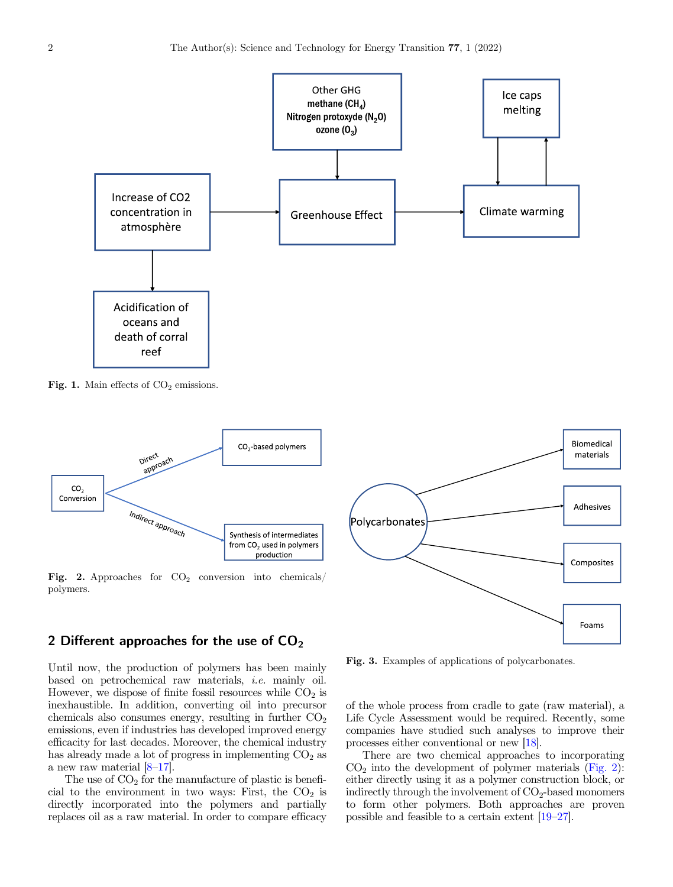<span id="page-1-0"></span>

Fig. 1. Main effects of  $CO<sub>2</sub>$  emissions.



Fig. 2. Approaches for  $CO<sub>2</sub>$  conversion into chemicals/ polymers.



2 Different approaches for the use of  $CO<sub>2</sub>$ 

Until now, the production of polymers has been mainly based on petrochemical raw materials, i.e. mainly oil. However, we dispose of finite fossil resources while  $CO<sub>2</sub>$  is inexhaustible. In addition, converting oil into precursor chemicals also consumes energy, resulting in further  $CO<sub>2</sub>$ emissions, even if industries has developed improved energy efficacity for last decades. Moreover, the chemical industry has already made a lot of progress in implementing  $CO<sub>2</sub>$  as a new raw material [\[8](#page-4-0)–[17](#page-4-0)].

The use of  $CO<sub>2</sub>$  for the manufacture of plastic is beneficial to the environment in two ways: First, the  $CO<sub>2</sub>$  is directly incorporated into the polymers and partially replaces oil as a raw material. In order to compare efficacy

Fig. 3. Examples of applications of polycarbonates.

of the whole process from cradle to gate (raw material), a Life Cycle Assessment would be required. Recently, some companies have studied such analyses to improve their processes either conventional or new [\[18\]](#page-4-0).

There are two chemical approaches to incorporating  $CO<sub>2</sub>$  into the development of polymer materials (Fig. 2): either directly using it as a polymer construction block, or indirectly through the involvement of  $CO<sub>2</sub>$ -based monomers to form other polymers. Both approaches are proven possible and feasible to a certain extent [[19](#page-4-0)–[27\]](#page-4-0).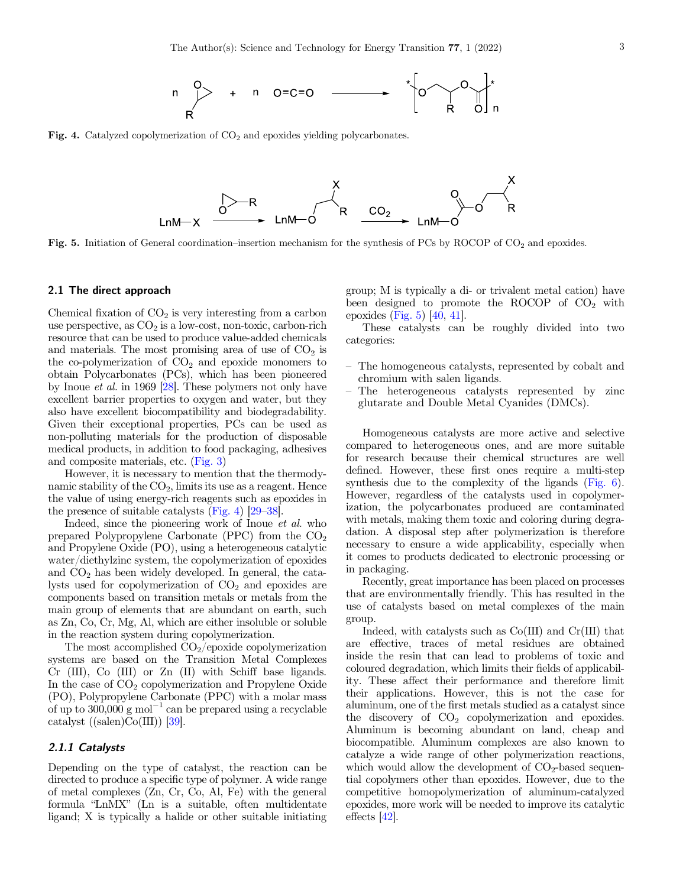

Fig. 4. Catalyzed copolymerization of  $CO<sub>2</sub>$  and epoxides yielding polycarbonates.



Fig. 5. Initiation of General coordination–insertion mechanism for the synthesis of PCs by ROCOP of CO<sub>2</sub> and epoxides.

#### 2.1 The direct approach

Chemical fixation of  $CO<sub>2</sub>$  is very interesting from a carbon use perspective, as  $CO<sub>2</sub>$  is a low-cost, non-toxic, carbon-rich resource that can be used to produce value-added chemicals and materials. The most promising area of use of  $CO<sub>2</sub>$  is the co-polymerization of  $CO<sub>2</sub>$  and epoxide monomers to obtain Polycarbonates (PCs), which has been pioneered by Inoue et al. in 1969 [\[28\]](#page-4-0). These polymers not only have excellent barrier properties to oxygen and water, but they also have excellent biocompatibility and biodegradability. Given their exceptional properties, PCs can be used as non-polluting materials for the production of disposable medical products, in addition to food packaging, adhesives and composite materials, etc. [\(Fig. 3\)](#page-1-0)

However, it is necessary to mention that the thermodynamic stability of the  $CO<sub>2</sub>$ , limits its use as a reagent. Hence the value of using energy-rich reagents such as epoxides in the presence of suitable catalysts (Fig. 4) [[29](#page-4-0)–[38\]](#page-4-0).

Indeed, since the pioneering work of Inoue et al. who prepared Polypropylene Carbonate (PPC) from the  $CO<sub>2</sub>$ and Propylene Oxide (PO), using a heterogeneous catalytic water/diethylzinc system, the copolymerization of epoxides and CO2 has been widely developed. In general, the catalysts used for copolymerization of  $CO<sub>2</sub>$  and epoxides are components based on transition metals or metals from the main group of elements that are abundant on earth, such as Zn, Co, Cr, Mg, Al, which are either insoluble or soluble in the reaction system during copolymerization.

The most accomplished  $CO<sub>2</sub>/epoxide copolymerization$ systems are based on the Transition Metal Complexes Cr (III), Co (III) or Zn (II) with Schiff base ligands. In the case of  $CO<sub>2</sub>$  copolymerization and Propylene Oxide (PO), Polypropylene Carbonate (PPC) with a molar mass of up to  $300,000 \text{ g mol}^{-1}$  can be prepared using a recyclable catalyst  $((\text{salen})\text{Co(III)})$  [\[39](#page-4-0)].

### 2.1.1 Catalysts

Depending on the type of catalyst, the reaction can be directed to produce a specific type of polymer. A wide range of metal complexes (Zn, Cr, Co, Al, Fe) with the general formula "LnMX" (Ln is a suitable, often multidentate ligand; X is typically a halide or other suitable initiating group; M is typically a di- or trivalent metal cation) have been designed to promote the ROCOP of  $CO<sub>2</sub>$  with epoxides (Fig.  $5$ ) [[40](#page-4-0), [41\]](#page-4-0).

These catalysts can be roughly divided into two categories:

- The homogeneous catalysts, represented by cobalt and chromium with salen ligands.
- The heterogeneous catalysts represented by zinc glutarate and Double Metal Cyanides (DMCs).

Homogeneous catalysts are more active and selective compared to heterogeneous ones, and are more suitable for research because their chemical structures are well defined. However, these first ones require a multi-step synthesis due to the complexity of the ligands [\(Fig. 6](#page-3-0)). However, regardless of the catalysts used in copolymerization, the polycarbonates produced are contaminated with metals, making them toxic and coloring during degradation. A disposal step after polymerization is therefore necessary to ensure a wide applicability, especially when it comes to products dedicated to electronic processing or in packaging.

Recently, great importance has been placed on processes that are environmentally friendly. This has resulted in the use of catalysts based on metal complexes of the main group.

Indeed, with catalysts such as Co(III) and Cr(III) that are effective, traces of metal residues are obtained inside the resin that can lead to problems of toxic and coloured degradation, which limits their fields of applicability. These affect their performance and therefore limit their applications. However, this is not the case for aluminum, one of the first metals studied as a catalyst since the discovery of  $CO<sub>2</sub>$  copolymerization and epoxides. Aluminum is becoming abundant on land, cheap and biocompatible. Aluminum complexes are also known to catalyze a wide range of other polymerization reactions, which would allow the development of  $CO<sub>2</sub>$ -based sequential copolymers other than epoxides. However, due to the competitive homopolymerization of aluminum-catalyzed epoxides, more work will be needed to improve its catalytic effects [[42\]](#page-4-0).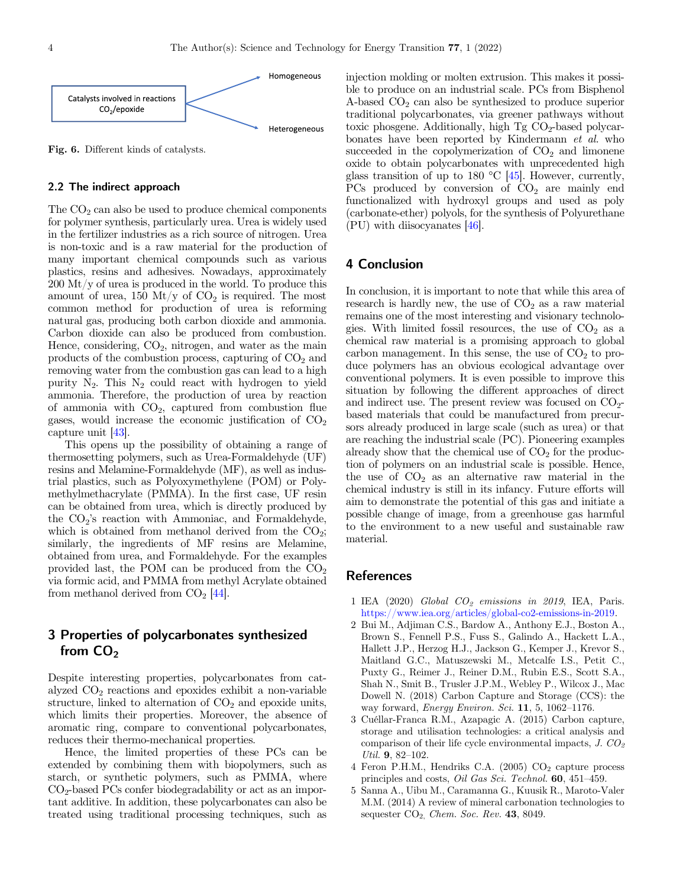<span id="page-3-0"></span>

Fig. 6. Different kinds of catalysts.

#### 2.2 The indirect approach

The  $CO<sub>2</sub>$  can also be used to produce chemical components for polymer synthesis, particularly urea. Urea is widely used in the fertilizer industries as a rich source of nitrogen. Urea is non-toxic and is a raw material for the production of many important chemical compounds such as various plastics, resins and adhesives. Nowadays, approximately 200 Mt/y of urea is produced in the world. To produce this amount of urea, 150 Mt/y of  $CO<sub>2</sub>$  is required. The most common method for production of urea is reforming natural gas, producing both carbon dioxide and ammonia. Carbon dioxide can also be produced from combustion. Hence, considering,  $CO<sub>2</sub>$ , nitrogen, and water as the main products of the combustion process, capturing of  $CO<sub>2</sub>$  and removing water from the combustion gas can lead to a high purity  $N_2$ . This  $N_2$  could react with hydrogen to yield ammonia. Therefore, the production of urea by reaction of ammonia with  $CO<sub>2</sub>$ , captured from combustion flue gases, would increase the economic justification of  $CO<sub>2</sub>$ capture unit [\[43\]](#page-4-0).

This opens up the possibility of obtaining a range of thermosetting polymers, such as Urea-Formaldehyde (UF) resins and Melamine-Formaldehyde (MF), as well as industrial plastics, such as Polyoxymethylene (POM) or Polymethylmethacrylate (PMMA). In the first case, UF resin can be obtained from urea, which is directly produced by the  $CO<sub>2</sub>$ 's reaction with Ammoniac, and Formaldehyde, which is obtained from methanol derived from the  $CO<sub>2</sub>$ ; similarly, the ingredients of MF resins are Melamine, obtained from urea, and Formaldehyde. For the examples provided last, the POM can be produced from the  $CO<sub>2</sub>$ via formic acid, and PMMA from methyl Acrylate obtained from methanol derived from  $CO<sub>2</sub>$  [\[44](#page-4-0)].

# 3 Properties of polycarbonates synthesized from  $CO<sub>2</sub>$

Despite interesting properties, polycarbonates from catalyzed  $CO<sub>2</sub>$  reactions and epoxides exhibit a non-variable structure, linked to alternation of  $CO<sub>2</sub>$  and epoxide units, which limits their properties. Moreover, the absence of aromatic ring, compare to conventional polycarbonates, reduces their thermo-mechanical properties.

Hence, the limited properties of these PCs can be extended by combining them with biopolymers, such as starch, or synthetic polymers, such as PMMA, where  $CO<sub>2</sub>$ -based PCs confer biodegradability or act as an important additive. In addition, these polycarbonates can also be treated using traditional processing techniques, such as injection molding or molten extrusion. This makes it possible to produce on an industrial scale. PCs from Bisphenol A-based  $CO<sub>2</sub>$  can also be synthesized to produce superior traditional polycarbonates, via greener pathways without toxic phosgene. Additionally, high  $Tg CO<sub>2</sub>$ -based polycarbonates have been reported by Kindermann et al. who succeeded in the copolymerization of  $CO<sub>2</sub>$  and limonene oxide to obtain polycarbonates with unprecedented high glass transition of up to 180  $\degree$ C [\[45\]](#page-4-0). However, currently, PCs produced by conversion of  $CO<sub>2</sub>$  are mainly end functionalized with hydroxyl groups and used as poly (carbonate-ether) polyols, for the synthesis of Polyurethane (PU) with diisocyanates [[46](#page-4-0)].

## 4 Conclusion

In conclusion, it is important to note that while this area of research is hardly new, the use of  $CO<sub>2</sub>$  as a raw material remains one of the most interesting and visionary technologies. With limited fossil resources, the use of  $CO<sub>2</sub>$  as a chemical raw material is a promising approach to global carbon management. In this sense, the use of  $CO<sub>2</sub>$  to produce polymers has an obvious ecological advantage over conventional polymers. It is even possible to improve this situation by following the different approaches of direct and indirect use. The present review was focused on  $CO<sub>2</sub>$ based materials that could be manufactured from precursors already produced in large scale (such as urea) or that are reaching the industrial scale (PC). Pioneering examples already show that the chemical use of  $CO<sub>2</sub>$  for the production of polymers on an industrial scale is possible. Hence, the use of  $CO<sub>2</sub>$  as an alternative raw material in the chemical industry is still in its infancy. Future efforts will aim to demonstrate the potential of this gas and initiate a possible change of image, from a greenhouse gas harmful to the environment to a new useful and sustainable raw material.

## References

- 1 IEA (2020) Global  $CO_2$  emissions in 2019, IEA, Paris. <https://www.iea.org/articles/global-co2-emissions-in-2019>.
- 2 Bui M., Adjiman C.S., Bardow A., Anthony E.J., Boston A., Brown S., Fennell P.S., Fuss S., Galindo A., Hackett L.A., Hallett J.P., Herzog H.J., Jackson G., Kemper J., Krevor S., Maitland G.C., Matuszewski M., Metcalfe I.S., Petit C., Puxty G., Reimer J., Reiner D.M., Rubin E.S., Scott S.A., Shah N., Smit B., Trusler J.P.M., Webley P., Wilcox J., Mac Dowell N. (2018) Carbon Capture and Storage (CCS): the way forward, Energy Environ. Sci. 11, 5, 1062–1176.
- 3 Cuéllar-Franca R.M., Azapagic A. (2015) Carbon capture, storage and utilisation technologies: a critical analysis and comparison of their life cycle environmental impacts,  $J. CO<sub>2</sub>$ Util. 9, 82–102.
- 4 Feron P.H.M., Hendriks C.A. (2005)  $CO<sub>2</sub>$  capture process principles and costs, Oil Gas Sci. Technol. 60, 451–459.
- 5 Sanna A., Uibu M., Caramanna G., Kuusik R., Maroto-Valer M.M. (2014) A review of mineral carbonation technologies to sequester  $CO<sub>2</sub>$ , *Chem. Soc. Rev.* 43, 8049.